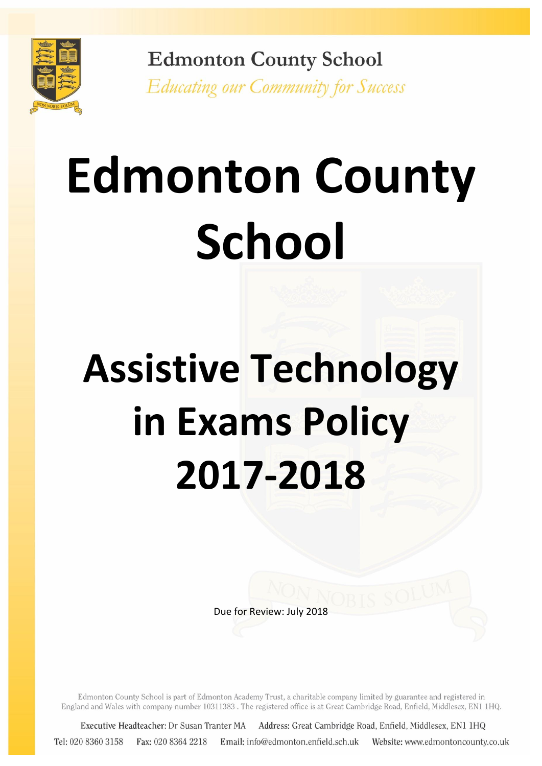

**Edmonton County School Educating our Community for Success** 

# **Edmonton County School**

# **Assistive Technology in Exams Policy 2017-2018**

Due for Review: July 2018

Edmonton County School is part of Edmonton Academy Trust, a charitable company limited by guarantee and registered in England and Wales with company number 10311383. The registered office is at Great Cambridge Road, Enfield, Middlesex, EN1 1HQ.

Executive Headteacher: Dr Susan Tranter MA Address: Great Cambridge Road, Enfield, Middlesex, EN1 1HQ Tel: 020 8360 3158 Fax: 020 8364 2218 Email: info@edmonton.enfield.sch.uk Website: www.edmontoncounty.co.uk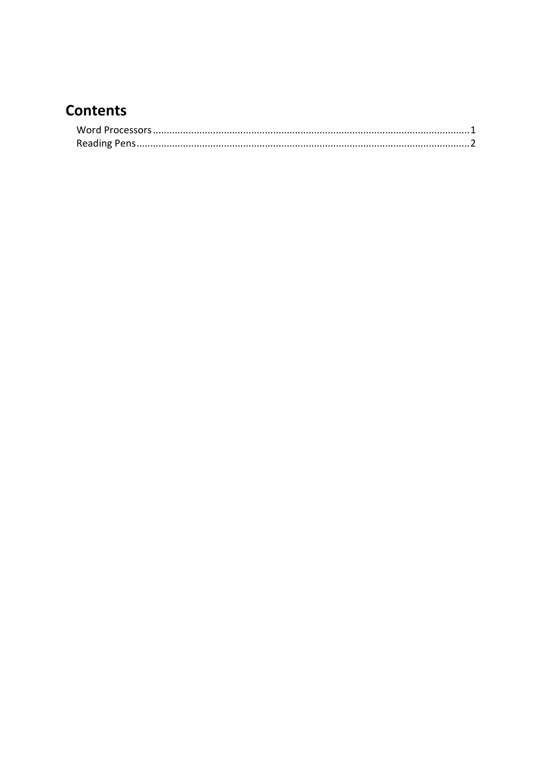# **Contents**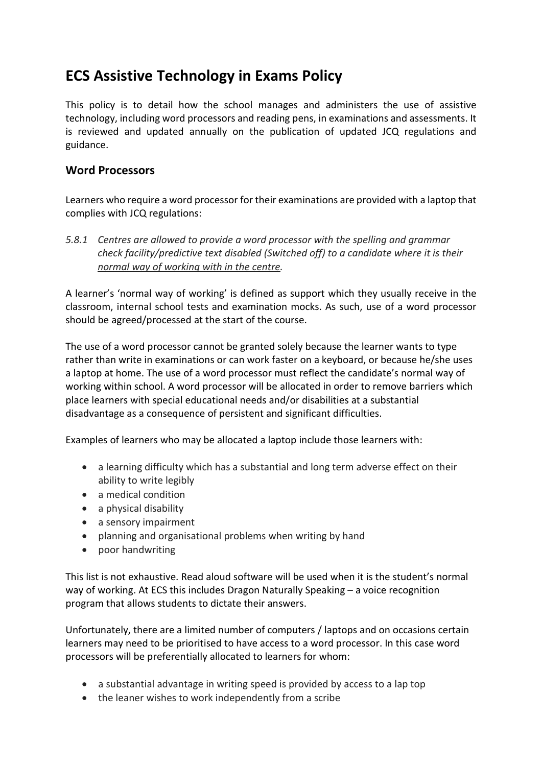## **ECS Assistive Technology in Exams Policy**

This policy is to detail how the school manages and administers the use of assistive technology, including word processors and reading pens, in examinations and assessments. It is reviewed and updated annually on the publication of updated JCQ regulations and guidance.

### <span id="page-2-0"></span>**Word Processors**

Learners who require a word processor for their examinations are provided with a laptop that complies with JCQ regulations:

*5.8.1 Centres are allowed to provide a word processor with the spelling and grammar check facility/predictive text disabled (Switched off) to a candidate where it is their normal way of working with in the centre.*

A learner's 'normal way of working' is defined as support which they usually receive in the classroom, internal school tests and examination mocks. As such, use of a word processor should be agreed/processed at the start of the course.

The use of a word processor cannot be granted solely because the learner wants to type rather than write in examinations or can work faster on a keyboard, or because he/she uses a laptop at home. The use of a word processor must reflect the candidate's normal way of working within school. A word processor will be allocated in order to remove barriers which place learners with special educational needs and/or disabilities at a substantial disadvantage as a consequence of persistent and significant difficulties.

Examples of learners who may be allocated a laptop include those learners with:

- a learning difficulty which has a substantial and long term adverse effect on their ability to write legibly
- a medical condition
- a physical disability
- a sensory impairment
- planning and organisational problems when writing by hand
- poor handwriting

This list is not exhaustive. Read aloud software will be used when it is the student's normal way of working. At ECS this includes Dragon Naturally Speaking – a voice recognition program that allows students to dictate their answers.

Unfortunately, there are a limited number of computers / laptops and on occasions certain learners may need to be prioritised to have access to a word processor. In this case word processors will be preferentially allocated to learners for whom:

- a substantial advantage in writing speed is provided by access to a lap top
- the leaner wishes to work independently from a scribe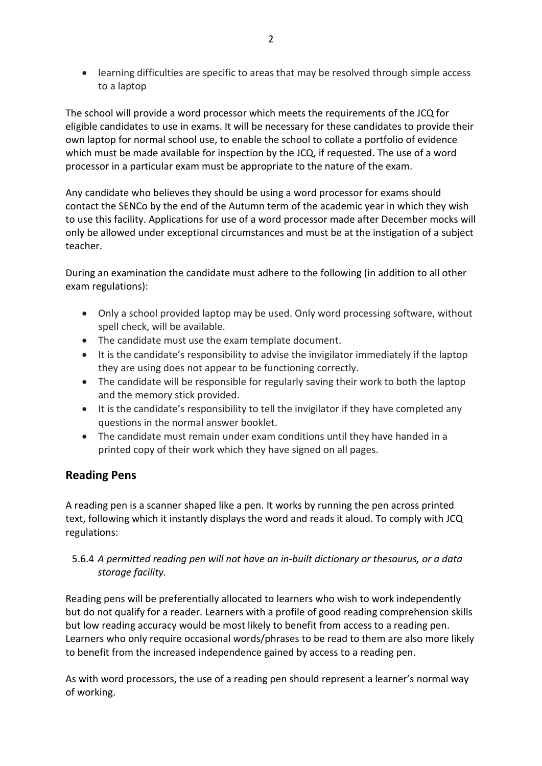learning difficulties are specific to areas that may be resolved through simple access to a laptop

The school will provide a word processor which meets the requirements of the JCQ for eligible candidates to use in exams. It will be necessary for these candidates to provide their own laptop for normal school use, to enable the school to collate a portfolio of evidence which must be made available for inspection by the JCQ, if requested. The use of a word processor in a particular exam must be appropriate to the nature of the exam.

Any candidate who believes they should be using a word processor for exams should contact the SENCo by the end of the Autumn term of the academic year in which they wish to use this facility. Applications for use of a word processor made after December mocks will only be allowed under exceptional circumstances and must be at the instigation of a subject teacher.

During an examination the candidate must adhere to the following (in addition to all other exam regulations):

- Only a school provided laptop may be used. Only word processing software, without spell check, will be available.
- The candidate must use the exam template document.
- It is the candidate's responsibility to advise the invigilator immediately if the laptop they are using does not appear to be functioning correctly.
- The candidate will be responsible for regularly saving their work to both the laptop and the memory stick provided.
- It is the candidate's responsibility to tell the invigilator if they have completed any questions in the normal answer booklet.
- The candidate must remain under exam conditions until they have handed in a printed copy of their work which they have signed on all pages.

#### <span id="page-3-0"></span>**Reading Pens**

A reading pen is a scanner shaped like a pen. It works by running the pen across printed text, following which it instantly displays the word and reads it aloud. To comply with JCQ regulations:

#### 5.6.4 *A permitted reading pen will not have an in-built dictionary or thesaurus, or a data storage facility.*

Reading pens will be preferentially allocated to learners who wish to work independently but do not qualify for a reader. Learners with a profile of good reading comprehension skills but low reading accuracy would be most likely to benefit from access to a reading pen. Learners who only require occasional words/phrases to be read to them are also more likely to benefit from the increased independence gained by access to a reading pen.

As with word processors, the use of a reading pen should represent a learner's normal way of working.